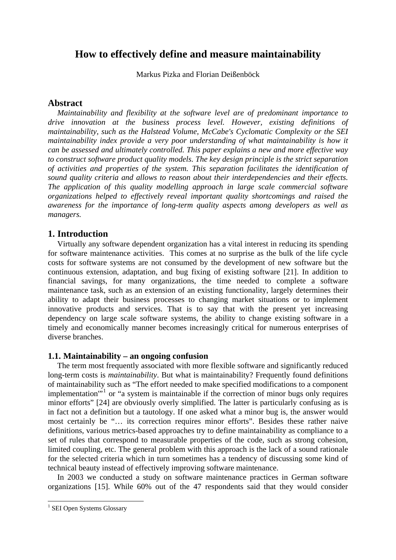# **How to effectively define and measure maintainability**

Markus Pizka and Florian Deißenböck

# **Abstract**

*Maintainability and flexibility at the software level are of predominant importance to drive innovation at the business process level. However, existing definitions of maintainability, such as the Halstead Volume, McCabe's Cyclomatic Complexity or the SEI maintainability index provide a very poor understanding of what maintainability is how it can be assessed and ultimately controlled. This paper explains a new and more effective way to construct software product quality models. The key design principle is the strict separation of activities and properties of the system. This separation facilitates the identification of sound quality criteria and allows to reason about their interdependencies and their effects. The application of this quality modelling approach in large scale commercial software organizations helped to effectively reveal important quality shortcomings and raised the awareness for the importance of long-term quality aspects among developers as well as managers.*

# **1. Introduction**

Virtually any software dependent organization has a vital interest in reducing its spending for software maintenance activities. This comes at no surprise as the bulk of the life cycle costs for software systems are not consumed by the development of new software but the continuous extension, adaptation, and bug fixing of existing software [\[21\]](#page-7-0). In addition to financial savings, for many organizations, the time needed to complete a software maintenance task, such as an extension of an existing functionality, largely determines their ability to adapt their business processes to changing market situations or to implement innovative products and services. That is to say that with the present yet increasing dependency on large scale software systems, the ability to change existing software in a timely and economically manner becomes increasingly critical for numerous enterprises of diverse branches.

# **1.1. Maintainability – an ongoing confusion**

The term most frequently associated with more flexible software and significantly reduced long-term costs is *maintainability*. But what is maintainability? Frequently found definitions of maintainability such as "The effort needed to make specified modifications to a component implementation"<sup>[1](#page-0-0)</sup> or "a system is maintainable if the correction of minor bugs only requires minor efforts" [\[24\]](#page-7-1) are obviously overly simplified. The latter is particularly confusing as is in fact not a definition but a tautology. If one asked what a minor bug is, the answer would most certainly be "… its correction requires minor efforts". Besides these rather naive definitions, various metrics-based approaches try to define maintainability as compliance to a set of rules that correspond to measurable properties of the code, such as strong cohesion, limited coupling, etc. The general problem with this approach is the lack of a sound rationale for the selected criteria which in turn sometimes has a tendency of discussing some kind of technical beauty instead of effectively improving software maintenance.

In 2003 we conducted a study on software maintenance practices in German software organizations [\[15\]](#page-7-2). While 60% out of the 47 respondents said that they would consider

<span id="page-0-0"></span> 1 SEI Open Systems Glossary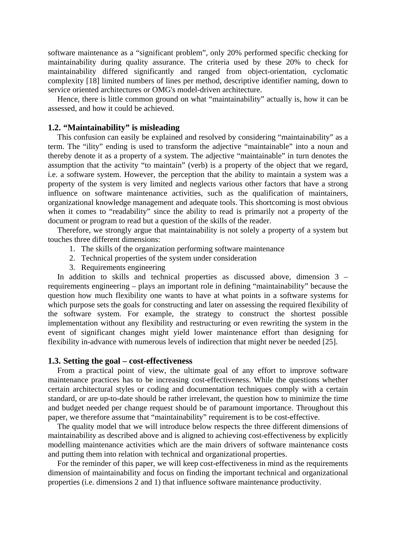software maintenance as a "significant problem", only 20% performed specific checking for maintainability during quality assurance. The criteria used by these 20% to check for maintainability differed significantly and ranged from object-orientation, cyclomatic complexity [\[18\]](#page-7-3) limited numbers of lines per method, descriptive identifier naming, down to service oriented architectures or OMG's model-driven architecture.

Hence, there is little common ground on what "maintainability" actually is, how it can be assessed, and how it could be achieved.

### **1.2. "Maintainability" is misleading**

This confusion can easily be explained and resolved by considering "maintainability" as a term. The "ility" ending is used to transform the adjective "maintainable" into a noun and thereby denote it as a property of a system. The adjective "maintainable" in turn denotes the assumption that the activity "to maintain" (verb) is a property of the object that we regard, i.e. a software system. However, the perception that the ability to maintain a system was a property of the system is very limited and neglects various other factors that have a strong influence on software maintenance activities, such as the qualification of maintainers, organizational knowledge management and adequate tools. This shortcoming is most obvious when it comes to "readability" since the ability to read is primarily not a property of the document or program to read but a question of the skills of the reader.

<span id="page-1-2"></span>Therefore, we strongly argue that maintainability is not solely a property of a system but touches three different dimensions:

- 1. The skills of the organization performing software maintenance
- 2. Technical properties of the system under consideration
- 3. Requirements engineering

<span id="page-1-1"></span><span id="page-1-0"></span> In addition to skills and technical properties as discussed above, dimension [3](#page-1-0) – requirements engineering – plays an important role in defining "maintainability" because the question how much flexibility one wants to have at what points in a software systems for which purpose sets the goals for constructing and later on assessing the required flexibility of the software system. For example, the strategy to construct the shortest possible implementation without any flexibility and restructuring or even rewriting the system in the event of significant changes might yield lower maintenance effort than designing for flexibility in-advance with numerous levels of indirection that might never be needed [\[25\]](#page-7-4).

#### **1.3. Setting the goal – cost-effectiveness**

 From a practical point of view, the ultimate goal of any effort to improve software maintenance practices has to be increasing cost-effectiveness. While the questions whether certain architectural styles or coding and documentation techniques comply with a certain standard, or are up-to-date should be rather irrelevant, the question how to minimize the time and budget needed per change request should be of paramount importance. Throughout this paper, we therefore assume that "maintainability" requirement is to be cost-effective.

 The quality model that we will introduce below respects the three different dimensions of maintainability as described above and is aligned to achieving cost-effectiveness by explicitly modelling maintenance activities which are the main drivers of software maintenance costs and putting them into relation with technical and organizational properties.

 For the reminder of this paper, we will keep cost-effectiveness in mind as the requirements dimension of maintainability and focus on finding the important technical and organizational properties (i.e. dimensions [2](#page-1-1) and [1\)](#page-1-2) that influence software maintenance productivity.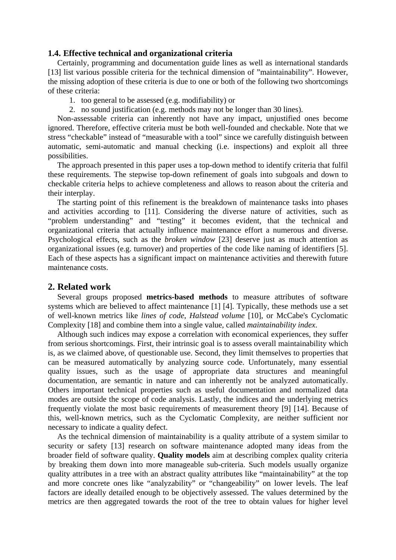#### **1.4. Effective technical and organizational criteria**

Certainly, programming and documentation guide lines as well as international standards [\[13\]](#page-7-5) list various possible criteria for the technical dimension of "maintainability". However, the missing adoption of these criteria is due to one or both of the following two shortcomings of these criteria:

- 1. too general to be assessed (e.g. modifiability) or
- 2. no sound justification (e.g. methods may not be longer than 30 lines).

 Non-assessable criteria can inherently not have any impact, unjustified ones become ignored. Therefore, effective criteria must be both well-founded and checkable. Note that we stress "checkable" instead of "measurable with a tool" since we carefully distinguish between automatic, semi-automatic and manual checking (i.e. inspections) and exploit all three possibilities.

The approach presented in this paper uses a top-down method to identify criteria that fulfil these requirements. The stepwise top-down refinement of goals into subgoals and down to checkable criteria helps to achieve completeness and allows to reason about the criteria and their interplay.

The starting point of this refinement is the breakdown of maintenance tasks into phases and activities according to [\[11\].](#page-7-6) Considering the diverse nature of activities, such as "problem understanding" and "testing" it becomes evident, that the technical and organizational criteria that actually influence maintenance effort a numerous and diverse. Psychological effects, such as the *broken window* [\[23\]](#page-7-7) deserve just as much attention as organizational issues (e.g. turnover) and properties of the code like naming of identifiers [\[5\]](#page-7-8). Each of these aspects has a significant impact on maintenance activities and therewith future maintenance costs.

# **2. Related work**

Several groups proposed **metrics-based methods** to measure attributes of software systems which are believed to affect maintenance [\[1\]](#page-7-9) [\[4\]](#page-7-10). Typically, these methods use a set of well-known metrics like *lines of code*, *Halstead volume* [\[10\],](#page-7-11) or McCabe's Cyclomatic Complexity [\[18\]](#page-7-3) and combine them into a single value, called *maintainability index*.

Although such indices may expose a correlation with economical experiences, they suffer from serious shortcomings. First, their intrinsic goal is to assess overall maintainability which is, as we claimed above, of questionable use. Second, they limit themselves to properties that can be measured automatically by analyzing source code. Unfortunately, many essential quality issues, such as the usage of appropriate data structures and meaningful documentation, are semantic in nature and can inherently not be analyzed automatically. Others important technical properties such as useful documentation and normalized data modes are outside the scope of code analysis. Lastly, the indices and the underlying metrics frequently violate the most basic requirements of measurement theory [\[9\]](#page-7-12) [\[14\].](#page-7-13) Because of this, well-known metrics, such as the Cyclomatic Complexity, are neither sufficient nor necessary to indicate a quality defect.

As the technical dimension of maintainability is a quality attribute of a system similar to security or safety [\[13\]](#page-7-5) research on software maintenance adopted many ideas from the broader field of software quality. **Quality models** aim at describing complex quality criteria by breaking them down into more manageable sub-criteria. Such models usually organize quality attributes in a tree with an abstract quality attributes like "maintainability" at the top and more concrete ones like "analyzability" or "changeability" on lower levels. The leaf factors are ideally detailed enough to be objectively assessed. The values determined by the metrics are then aggregated towards the root of the tree to obtain values for higher level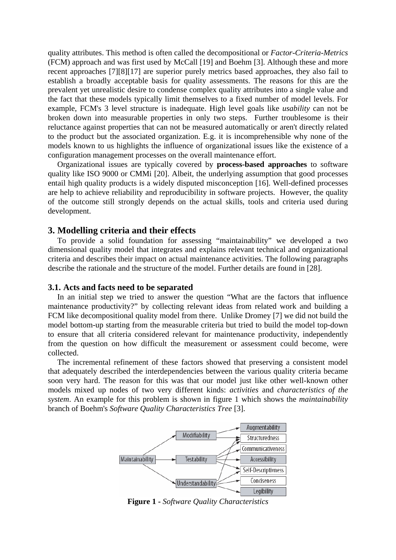quality attributes. This method is often called the decompositional or *Factor-Criteria-Metrics* (FCM) approach and was first used by McCall [\[19\]](#page-7-14) and Boehm [\[3\].](#page-7-15) Although these and more recent approaches [\[7\]](#page-7-16)[\[8\]](#page-7-17)[\[17\]](#page-7-18) are superior purely metrics based approaches, they also fail to establish a broadly acceptable basis for quality assessments. The reasons for this are the prevalent yet unrealistic desire to condense complex quality attributes into a single value and the fact that these models typically limit themselves to a fixed number of model levels. For example, FCM's 3 level structure is inadequate. High level goals like *usability* can not be broken down into measurable properties in only two steps. Further troublesome is their reluctance against properties that can not be measured automatically or aren't directly related to the product but the associated organization. E.g. it is incomprehensible why none of the models known to us highlights the influence of organizational issues like the existence of a configuration management processes on the overall maintenance effort.

Organizational issues are typically covered by **process-based approaches** to software quality like ISO 9000 or CMMi [\[20\].](#page-7-19) Albeit, the underlying assumption that good processes entail high quality products is a widely disputed misconception [\[16\].](#page-7-20) Well-defined processes are help to achieve reliability and reproducibility in software projects. However, the quality of the outcome still strongly depends on the actual skills, tools and criteria used during development.

### **3. Modelling criteria and their effects**

To provide a solid foundation for assessing "maintainability" we developed a two dimensional quality model that integrates and explains relevant technical and organizational criteria and describes their impact on actual maintenance activities. The following paragraphs describe the rationale and the structure of the model. Further details are found in [\[28\]](#page-7-21).

#### **3.1. Acts and facts need to be separated**

In an initial step we tried to answer the question "What are the factors that influence maintenance productivity?" by collecting relevant ideas from related work and building a FCM like decompositional quality model from there. Unlike Dromey [\[7\]](#page-7-16) we did not build the model bottom-up starting from the measurable criteria but tried to build the model top-down to ensure that all criteria considered relevant for maintenance productivity, independently from the question on how difficult the measurement or assessment could become, were collected.

The incremental refinement of these factors showed that preserving a consistent model that adequately described the interdependencies between the various quality criteria became soon very hard. The reason for this was that our model just like other well-known other models mixed up nodes of two very different kinds: *activities* and *characteristics of the system*. An example for this problem is shown in figure 1 which shows the *maintainability* branch of Boehm's *Software Quality Characteristics Tree* [\[3\].](#page-7-15)



**Figure 1 -** *Software Quality Characteristics*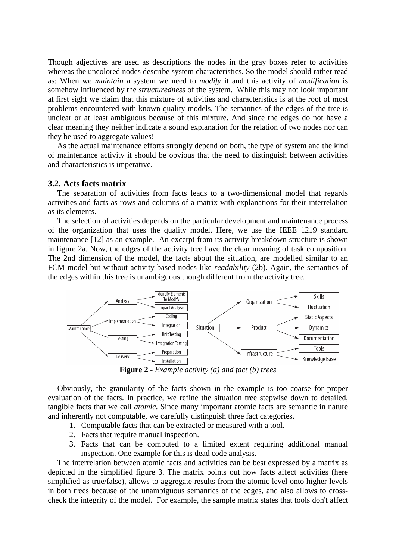Though adjectives are used as descriptions the nodes in the gray boxes refer to activities whereas the uncolored nodes describe system characteristics. So the model should rather read as: When we *maintain* a system we need to *modify* it and this activity of *modification* is somehow influenced by the *structuredness* of the system. While this may not look important at first sight we claim that this mixture of activities and characteristics is at the root of most problems encountered with known quality models. The semantics of the edges of the tree is unclear or at least ambiguous because of this mixture. And since the edges do not have a clear meaning they neither indicate a sound explanation for the relation of two nodes nor can they be used to aggregate values!

As the actual maintenance efforts strongly depend on both, the type of system and the kind of maintenance activity it should be obvious that the need to distinguish between activities and characteristics is imperative.

#### **3.2. Acts facts matrix**

The separation of activities from facts leads to a two-dimensional model that regards activities and facts as rows and columns of a matrix with explanations for their interrelation as its elements.

The selection of activities depends on the particular development and maintenance process of the organization that uses the quality model. Here, we use the IEEE 1219 standard maintenance [\[12\]](#page-7-22) as an example. An excerpt from its activity breakdown structure is shown in figure 2a. Now, the edges of the activity tree have the clear meaning of task composition. The 2nd dimension of the model, the facts about the situation, are modelled similar to an FCM model but without activity-based nodes like *readability* (2b). Again, the semantics of the edges within this tree is unambiguous though different from the activity tree.



**Figure 2 -** *Example activity (a) and fact (b) trees*

Obviously, the granularity of the facts shown in the example is too coarse for proper evaluation of the facts. In practice, we refine the situation tree stepwise down to detailed, tangible facts that we call *atomic*. Since many important atomic facts are semantic in nature and inherently not computable, we carefully distinguish three fact categories.

- 1. Computable facts that can be extracted or measured with a tool.
- 2. Facts that require manual inspection.
- 3. Facts that can be computed to a limited extent requiring additional manual inspection. One example for this is dead code analysis.

The interrelation between atomic facts and activities can be best expressed by a matrix as depicted in the simplified figure 3. The matrix points out how facts affect activities (here simplified as true/false), allows to aggregate results from the atomic level onto higher levels in both trees because of the unambiguous semantics of the edges, and also allows to crosscheck the integrity of the model. For example, the sample matrix states that tools don't affect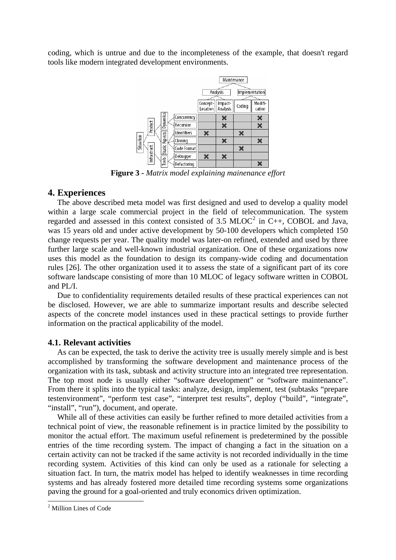coding, which is untrue and due to the incompleteness of the example, that doesn't regard tools like modern integrated development environments.



**Figure 3 -** *Matrix model explaining mainenance effort*

#### **4. Experiences**

The above described meta model was first designed and used to develop a quality model within a large scale commercial project in the field of telecommunication. The system regarded and assessed in this context consisted of 3.5  $MLOC<sup>2</sup>$  $MLOC<sup>2</sup>$  $MLOC<sup>2</sup>$  in C++, COBOL and Java, was 15 years old and under active development by 50-100 developers which completed 150 change requests per year. The quality model was later-on refined, extended and used by three further large scale and well-known industrial organization. One of these organizations now uses this model as the foundation to design its company-wide coding and documentation rules [\[26\].](#page-7-23) The other organization used it to assess the state of a significant part of its core software landscape consisting of more than 10 MLOC of legacy software written in COBOL and PL/I.

Due to confidentiality requirements detailed results of these practical experiences can not be disclosed. However, we are able to summarize important results and describe selected aspects of the concrete model instances used in these practical settings to provide further information on the practical applicability of the model.

#### **4.1. Relevant activities**

As can be expected, the task to derive the activity tree is usually merely simple and is best accomplished by transforming the software development and maintenance process of the organization with its task, subtask and activity structure into an integrated tree representation. The top most node is usually either "software development" or "software maintenance". From there it splits into the typical tasks: analyze, design, implement, test (subtasks "prepare testenvironment", "perform test case", "interpret test results", deploy ("build", "integrate", "install", "run"), document, and operate.

 While all of these activities can easily be further refined to more detailed activities from a technical point of view, the reasonable refinement is in practice limited by the possibility to monitor the actual effort. The maximum useful refinement is predetermined by the possible entries of the time recording system. The impact of changing a fact in the situation on a certain activity can not be tracked if the same activity is not recorded individually in the time recording system. Activities of this kind can only be used as a rationale for selecting a situation fact. In turn, the matrix model has helped to identify weaknesses in time recording systems and has already fostered more detailed time recording systems some organizations paving the ground for a goal-oriented and truly economics driven optimization.

1

<span id="page-5-0"></span><sup>2</sup> Million Lines of Code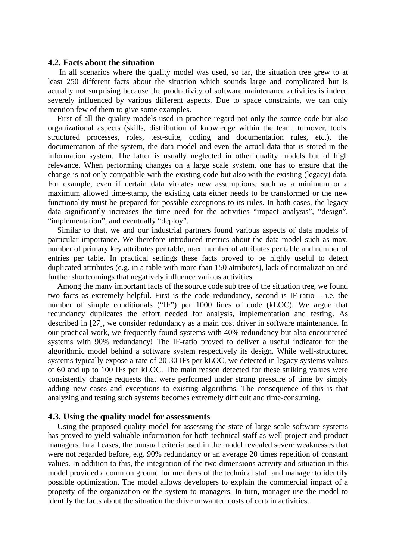#### **4.2. Facts about the situation**

 In all scenarios where the quality model was used, so far, the situation tree grew to at least 250 different facts about the situation which sounds large and complicated but is actually not surprising because the productivity of software maintenance activities is indeed severely influenced by various different aspects. Due to space constraints, we can only mention few of them to give some examples.

First of all the quality models used in practice regard not only the source code but also organizational aspects (skills, distribution of knowledge within the team, turnover, tools, structured processes, roles, test-suite, coding and documentation rules, etc.), the documentation of the system, the data model and even the actual data that is stored in the information system. The latter is usually neglected in other quality models but of high relevance. When performing changes on a large scale system, one has to ensure that the change is not only compatible with the existing code but also with the existing (legacy) data. For example, even if certain data violates new assumptions, such as a minimum or a maximum allowed time-stamp, the existing data either needs to be transformed or the new functionality must be prepared for possible exceptions to its rules. In both cases, the legacy data significantly increases the time need for the activities "impact analysis", "design", "implementation", and eventually "deploy".

Similar to that, we and our industrial partners found various aspects of data models of particular importance. We therefore introduced metrics about the data model such as max. number of primary key attributes per table, max. number of attributes per table and number of entries per table. In practical settings these facts proved to be highly useful to detect duplicated attributes (e.g. in a table with more than 150 attributes), lack of normalization and further shortcomings that negatively influence various activities.

Among the many important facts of the source code sub tree of the situation tree, we found two facts as extremely helpful. First is the code redundancy, second is IF-ratio – i.e. the number of simple conditionals ("IF") per 1000 lines of code (kLOC). We argue that redundancy duplicates the effort needed for analysis, implementation and testing. As described in [\[27\],](#page-7-24) we consider redundancy as a main cost driver in software maintenance. In our practical work, we frequently found systems with 40% redundancy but also encountered systems with 90% redundancy! The IF-ratio proved to deliver a useful indicator for the algorithmic model behind a software system respectively its design. While well-structured systems typically expose a rate of 20-30 IFs per kLOC, we detected in legacy systems values of 60 and up to 100 IFs per kLOC. The main reason detected for these striking values were consistently change requests that were performed under strong pressure of time by simply adding new cases and exceptions to existing algorithms. The consequence of this is that analyzing and testing such systems becomes extremely difficult and time-consuming.

#### **4.3. Using the quality model for assessments**

Using the proposed quality model for assessing the state of large-scale software systems has proved to yield valuable information for both technical staff as well project and product managers. In all cases, the unusual criteria used in the model revealed severe weaknesses that were not regarded before, e.g. 90% redundancy or an average 20 times repetition of constant values. In addition to this, the integration of the two dimensions activity and situation in this model provided a common ground for members of the technical staff and manager to identify possible optimization. The model allows developers to explain the commercial impact of a property of the organization or the system to managers. In turn, manager use the model to identify the facts about the situation the drive unwanted costs of certain activities.